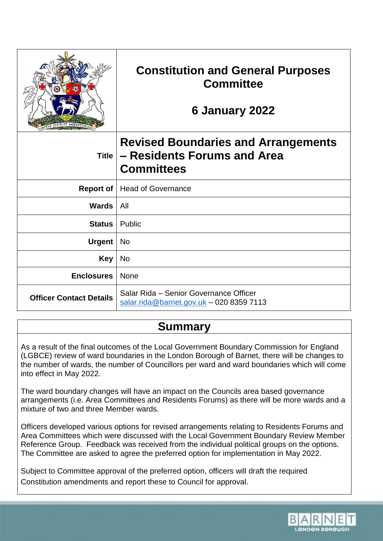|                                | <b>Constitution and General Purposes</b><br><b>Committee</b><br>6 January 2022                 |
|--------------------------------|------------------------------------------------------------------------------------------------|
| <b>Title</b>                   | <b>Revised Boundaries and Arrangements</b><br>- Residents Forums and Area<br><b>Committees</b> |
| <b>Report of</b>               | <b>Head of Governance</b>                                                                      |
| <b>Wards</b>                   | All                                                                                            |
| <b>Status</b>                  | Public                                                                                         |
| <b>Urgent</b>                  | <b>No</b>                                                                                      |
| <b>Key</b>                     | <b>No</b>                                                                                      |
| <b>Enclosures</b>              | None                                                                                           |
| <b>Officer Contact Details</b> | Salar Rida - Senior Governance Officer<br>$salar.rida@barnet.gov.uk - 02083597113$             |

# **Summary**

As a result of the final outcomes of the Local Government Boundary Commission for England (LGBCE) review of ward boundaries in the London Borough of Barnet, there will be changes to the number of wards, the number of Councillors per ward and ward boundaries which will come into effect in May 2022.

The ward boundary changes will have an impact on the Councils area based governance arrangements (i.e. Area Committees and Residents Forums) as there will be more wards and a mixture of two and three Member wards.

Officers developed various options for revised arrangements relating to Residents Forums and Area Committees which were discussed with the Local Government Boundary Review Member Reference Group. Feedback was received from the individual political groups on the options. The Committee are asked to agree the preferred option for implementation in May 2022.

Subject to Committee approval of the preferred option, officers will draft the required Constitution amendments and report these to Council for approval.

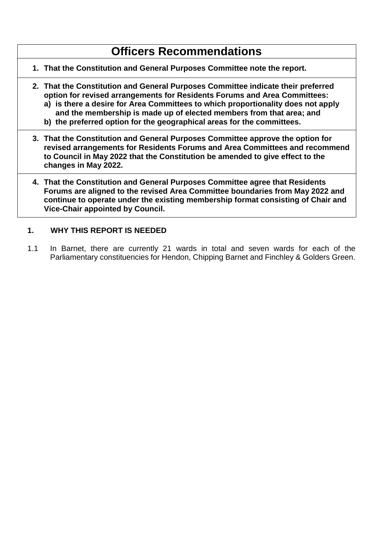# **Officers Recommendations**

- **1. That the Constitution and General Purposes Committee note the report.**
- **2. That the Constitution and General Purposes Committee indicate their preferred option for revised arrangements for Residents Forums and Area Committees:**
	- **a) is there a desire for Area Committees to which proportionality does not apply and the membership is made up of elected members from that area; and**
	- **b) the preferred option for the geographical areas for the committees.**
- **3. That the Constitution and General Purposes Committee approve the option for revised arrangements for Residents Forums and Area Committees and recommend to Council in May 2022 that the Constitution be amended to give effect to the changes in May 2022.**
- **4. That the Constitution and General Purposes Committee agree that Residents Forums are aligned to the revised Area Committee boundaries from May 2022 and continue to operate under the existing membership format consisting of Chair and Vice-Chair appointed by Council.**

#### **1. WHY THIS REPORT IS NEEDED**

1.1 In Barnet, there are currently 21 wards in total and seven wards for each of the Parliamentary constituencies for Hendon, Chipping Barnet and Finchley & Golders Green.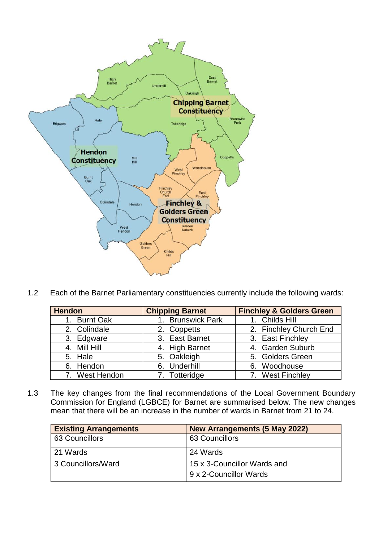

1.2 Each of the Barnet Parliamentary constituencies currently include the following wards:

| <b>Hendon</b>  | <b>Chipping Barnet</b> | <b>Finchley &amp; Golders Green</b> |
|----------------|------------------------|-------------------------------------|
| 1. Burnt Oak   | 1. Brunswick Park      | 1. Childs Hill                      |
| 2. Colindale   | 2. Coppetts            | 2. Finchley Church End              |
| 3. Edgware     | 3. East Barnet         | 3. East Finchley                    |
| 4. Mill Hill   | 4. High Barnet         | 4. Garden Suburb                    |
| 5. Hale        | 5. Oakleigh            | 5. Golders Green                    |
| 6. Hendon      | 6. Underhill           | 6. Woodhouse                        |
| 7. West Hendon | 7. Totteridge          | 7. West Finchley                    |

1.3 The key changes from the final recommendations of the Local Government Boundary Commission for England (LGBCE) for Barnet are summarised below. The new changes mean that there will be an increase in the number of wards in Barnet from 21 to 24.

| <b>Existing Arrangements</b> | New Arrangements (5 May 2022) |
|------------------------------|-------------------------------|
| 63 Councillors               | 63 Councillors                |
| 21 Wards                     | 24 Wards                      |
| 3 Councillors/Ward           | 15 x 3-Councillor Wards and   |
|                              | 9 x 2-Councillor Wards        |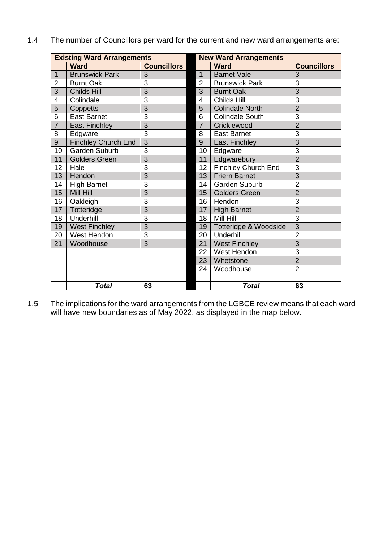|  |  |  | 1.4 The number of Councillors per ward for the current and new ward arrangements are: |
|--|--|--|---------------------------------------------------------------------------------------|
|--|--|--|---------------------------------------------------------------------------------------|

|                 | <b>Existing Ward Arrangements</b> |                    | <b>New Ward Arrangements</b> |                        |                    |  |
|-----------------|-----------------------------------|--------------------|------------------------------|------------------------|--------------------|--|
|                 | <b>Ward</b>                       | <b>Councillors</b> |                              | <b>Ward</b>            | <b>Councillors</b> |  |
| $\mathbf{1}$    | <b>Brunswick Park</b>             | 3                  | 1                            | <b>Barnet Vale</b>     | 3                  |  |
| $\overline{2}$  | <b>Burnt Oak</b>                  | 3                  | $\overline{2}$               | <b>Brunswick Park</b>  | 3                  |  |
| $\overline{3}$  | <b>Childs Hill</b>                | $\overline{3}$     | 3                            | <b>Burnt Oak</b>       | $\overline{3}$     |  |
| 4               | Colindale                         | 3                  | 4                            | Childs Hill            | $\overline{3}$     |  |
| 5               | Coppetts                          | 3                  | 5                            | <b>Colindale North</b> | $\overline{2}$     |  |
| 6               | <b>East Barnet</b>                | 3                  | 6                            | <b>Colindale South</b> | 3                  |  |
| $\overline{7}$  | <b>East Finchley</b>              | $\overline{3}$     | $\overline{7}$               | Cricklewood            | $\overline{2}$     |  |
| 8               | Edgware                           | 3                  | 8                            | <b>East Barnet</b>     | 3                  |  |
| $\overline{9}$  | <b>Finchley Church End</b>        | $\overline{3}$     | 9                            | <b>East Finchley</b>   | $\overline{3}$     |  |
| 10              | Garden Suburb                     | 3                  | 10                           | Edgware                | 3                  |  |
| 11              | <b>Golders Green</b>              | $\overline{3}$     | 11                           | Edgwarebury            | $\overline{2}$     |  |
| 12              | Hale                              | 3                  | 12 <sub>2</sub>              | Finchley Church End    | 3                  |  |
| 13              | Hendon                            | $\overline{3}$     | 13                           | <b>Friern Barnet</b>   | $\overline{3}$     |  |
| 14              | <b>High Barnet</b>                | 3                  | 14                           | Garden Suburb          | $\overline{2}$     |  |
| 15              | Mill Hill                         | $\overline{3}$     | 15                           | <b>Golders Green</b>   | $\overline{2}$     |  |
| 16              | Oakleigh                          | 3                  | 16                           | Hendon                 | 3                  |  |
| 17              | Totteridge                        | $\overline{3}$     | 17                           | <b>High Barnet</b>     | $\overline{2}$     |  |
| 18              | Underhill                         | 3                  | 18                           | Mill Hill              | 3                  |  |
| 19              | <b>West Finchley</b>              | 3                  | 19                           | Totteridge & Woodside  | 3                  |  |
| 20              | West Hendon                       | 3                  | 20                           | Underhill              | $\overline{2}$     |  |
| $\overline{21}$ | Woodhouse                         | 3                  | 21                           | <b>West Finchley</b>   | $\overline{3}$     |  |
|                 |                                   |                    | 22                           | West Hendon            | 3                  |  |
|                 |                                   |                    | 23                           | Whetstone              | $\overline{2}$     |  |
|                 |                                   |                    | 24                           | Woodhouse              | $\overline{2}$     |  |
|                 |                                   |                    |                              |                        |                    |  |
|                 | Total                             | 63                 |                              | <b>Total</b>           | 63                 |  |

1.5 The implications for the ward arrangements from the LGBCE review means that each ward will have new boundaries as of May 2022, as displayed in the map below.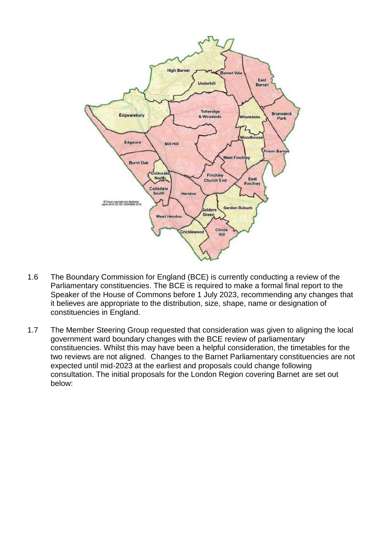

- 1.6 The Boundary Commission for England (BCE) is currently conducting a review of the Parliamentary constituencies. The BCE is required to make a formal final report to the Speaker of the House of Commons before 1 July 2023, recommending any changes that it believes are appropriate to the distribution, size, shape, name or designation of constituencies in England.
- 1.7 The Member Steering Group requested that consideration was given to aligning the local government ward boundary changes with the BCE review of parliamentary constituencies. Whilst this may have been a helpful consideration, the timetables for the two reviews are not aligned. Changes to the Barnet Parliamentary constituencies are not expected until mid-2023 at the earliest and proposals could change following consultation. The initial proposals for the London Region covering Barnet are set out below: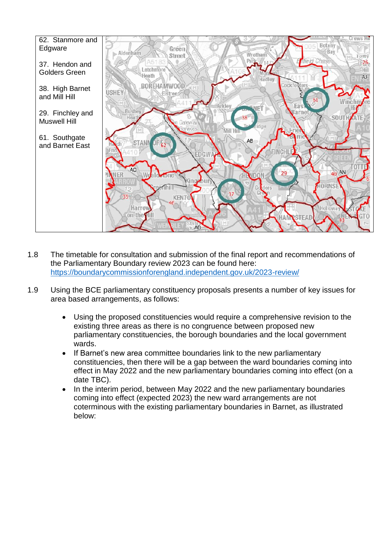

- 1.8 The timetable for consultation and submission of the final report and recommendations of the Parliamentary Boundary review 2023 can be found here: <https://boundarycommissionforengland.independent.gov.uk/2023-review/>
- 1.9 Using the BCE parliamentary constituency proposals presents a number of key issues for area based arrangements, as follows:
	- Using the proposed constituencies would require a comprehensive revision to the existing three areas as there is no congruence between proposed new parliamentary constituencies, the borough boundaries and the local government wards.
	- If Barnet's new area committee boundaries link to the new parliamentary constituencies, then there will be a gap between the ward boundaries coming into effect in May 2022 and the new parliamentary boundaries coming into effect (on a date TBC).
	- In the interim period, between May 2022 and the new parliamentary boundaries coming into effect (expected 2023) the new ward arrangements are not coterminous with the existing parliamentary boundaries in Barnet, as illustrated below: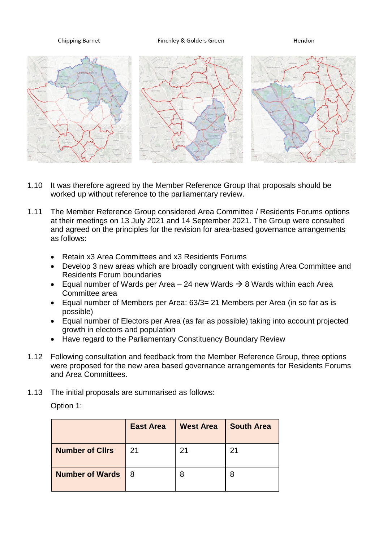**Chipping Barnet** 

Finchley & Golders Green

Hendon



- 1.10 It was therefore agreed by the Member Reference Group that proposals should be worked up without reference to the parliamentary review.
- 1.11 The Member Reference Group considered Area Committee / Residents Forums options at their meetings on 13 July 2021 and 14 September 2021. The Group were consulted and agreed on the principles for the revision for area-based governance arrangements as follows:
	- Retain x3 Area Committees and x3 Residents Forums
	- Develop 3 new areas which are broadly congruent with existing Area Committee and Residents Forum boundaries
	- Equal number of Wards per Area 24 new Wards  $\rightarrow$  8 Wards within each Area Committee area
	- Equal number of Members per Area: 63/3= 21 Members per Area (in so far as is possible)
	- Equal number of Electors per Area (as far as possible) taking into account projected growth in electors and population
	- Have regard to the Parliamentary Constituency Boundary Review
- 1.12 Following consultation and feedback from the Member Reference Group, three options were proposed for the new area based governance arrangements for Residents Forums and Area Committees.
- 1.13 The initial proposals are summarised as follows:

Option 1:

|                        | <b>East Area</b> | <b>West Area</b> | <b>South Area</b> |
|------------------------|------------------|------------------|-------------------|
| <b>Number of Clirs</b> | 21               | 21               | 21                |
| <b>Number of Wards</b> | 8                | 8                | 8                 |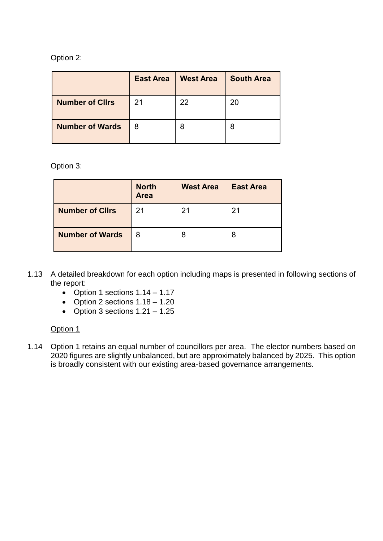#### Option 2:

|                        | <b>East Area</b> | <b>West Area</b> | <b>South Area</b> |
|------------------------|------------------|------------------|-------------------|
| <b>Number of Cllrs</b> | 21               | 22               | 20                |
| <b>Number of Wards</b> | 8                | 8                |                   |

Option 3:

|                        | <b>North</b><br><b>Area</b> | <b>West Area</b> | <b>East Area</b> |
|------------------------|-----------------------------|------------------|------------------|
| <b>Number of Cllrs</b> | 21                          | 21               | 21               |
| <b>Number of Wards</b> | 8                           | 8                | 8                |

- 1.13 A detailed breakdown for each option including maps is presented in following sections of the report:
	- Option 1 sections  $1.14 1.17$
	- Option 2 sections  $1.18 1.20$
	- Option 3 sections  $1.21 1.25$

#### Option 1

1.14 Option 1 retains an equal number of councillors per area. The elector numbers based on 2020 figures are slightly unbalanced, but are approximately balanced by 2025. This option is broadly consistent with our existing area-based governance arrangements.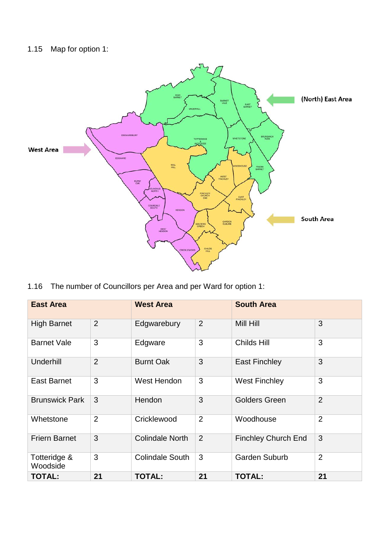# 1.15 Map for option 1:



1.16 The number of Councillors per Area and per Ward for option 1:

| <b>East Area</b>         |                | <b>West Area</b>       |                | <b>South Area</b>          |                |
|--------------------------|----------------|------------------------|----------------|----------------------------|----------------|
| <b>High Barnet</b>       | 2              | Edgwarebury            | $\overline{2}$ | Mill Hill                  | 3              |
| <b>Barnet Vale</b>       | 3              | Edgware                | 3              | Childs Hill                | 3              |
| Underhill                | $\overline{2}$ | <b>Burnt Oak</b>       | 3              | <b>East Finchley</b>       | 3              |
| <b>East Barnet</b>       | 3              | West Hendon            | 3              | <b>West Finchley</b>       | 3              |
| <b>Brunswick Park</b>    | 3              | Hendon                 | 3              | <b>Golders Green</b>       | $\overline{2}$ |
| Whetstone                | $\overline{2}$ | Cricklewood            | $\overline{2}$ | Woodhouse                  | $\overline{2}$ |
| <b>Friern Barnet</b>     | 3              | <b>Colindale North</b> | $\overline{2}$ | <b>Finchley Church End</b> | 3              |
| Totteridge &<br>Woodside | 3              | <b>Colindale South</b> | 3              | <b>Garden Suburb</b>       | $\overline{2}$ |
| <b>TOTAL:</b>            | 21             | <b>TOTAL:</b>          | 21             | <b>TOTAL:</b>              | 21             |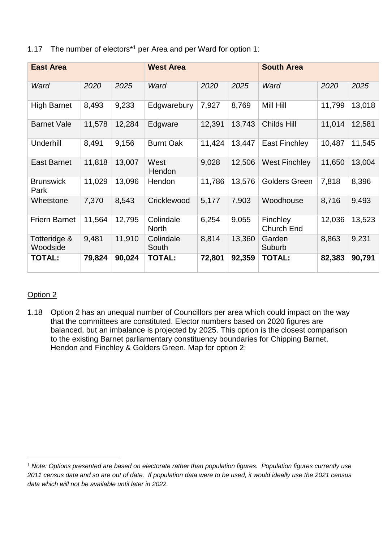|  | 1.17 The number of electors <sup>*1</sup> per Area and per Ward for option 1: |  |  |  |
|--|-------------------------------------------------------------------------------|--|--|--|
|--|-------------------------------------------------------------------------------|--|--|--|

| <b>East Area</b>         |        |        | <b>West Area</b>          |        |        | <b>South Area</b>             |        |        |
|--------------------------|--------|--------|---------------------------|--------|--------|-------------------------------|--------|--------|
| Ward                     | 2020   | 2025   | Ward                      | 2020   | 2025   | Ward                          | 2020   | 2025   |
| <b>High Barnet</b>       | 8,493  | 9,233  | Edgwarebury               | 7,927  | 8,769  | Mill Hill                     | 11,799 | 13,018 |
| <b>Barnet Vale</b>       | 11,578 | 12,284 | Edgware                   | 12,391 | 13,743 | Childs Hill                   | 11,014 | 12,581 |
| Underhill                | 8,491  | 9,156  | <b>Burnt Oak</b>          | 11,424 | 13,447 | East Finchley                 | 10,487 | 11,545 |
| <b>East Barnet</b>       | 11,818 | 13,007 | West<br>Hendon            | 9,028  | 12,506 | <b>West Finchley</b>          | 11,650 | 13,004 |
| <b>Brunswick</b><br>Park | 11,029 | 13,096 | Hendon                    | 11,786 | 13,576 | <b>Golders Green</b>          | 7,818  | 8,396  |
| Whetstone                | 7,370  | 8,543  | Cricklewood               | 5,177  | 7,903  | Woodhouse                     | 8,716  | 9,493  |
| <b>Friern Barnet</b>     | 11,564 | 12,795 | Colindale<br><b>North</b> | 6,254  | 9,055  | Finchley<br><b>Church End</b> | 12,036 | 13,523 |
| Totteridge &<br>Woodside | 9,481  | 11,910 | Colindale<br>South        | 8,814  | 13,360 | Garden<br>Suburb              | 8,863  | 9,231  |
| <b>TOTAL:</b>            | 79,824 | 90,024 | <b>TOTAL:</b>             | 72,801 | 92,359 | <b>TOTAL:</b>                 | 82,383 | 90,791 |

### Option 2

 $\overline{a}$ 

1.18 Option 2 has an unequal number of Councillors per area which could impact on the way that the committees are constituted. Elector numbers based on 2020 figures are balanced, but an imbalance is projected by 2025. This option is the closest comparison to the existing Barnet parliamentary constituency boundaries for Chipping Barnet, Hendon and Finchley & Golders Green. Map for option 2:

<sup>1</sup> *Note: Options presented are based on electorate rather than population figures. Population figures currently use 2011 census data and so are out of date. If population data were to be used, it would ideally use the 2021 census data which will not be available until later in 2022.*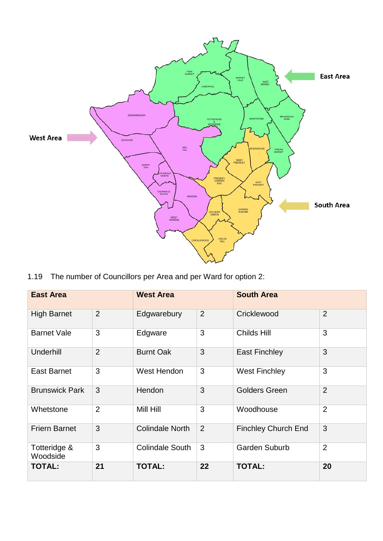

1.19 The number of Councillors per Area and per Ward for option 2:

| <b>East Area</b>         |                | <b>West Area</b>       |                | <b>South Area</b>          |                |  |  |
|--------------------------|----------------|------------------------|----------------|----------------------------|----------------|--|--|
| <b>High Barnet</b>       | 2              | Edgwarebury            | 2              | Cricklewood                | $\overline{2}$ |  |  |
| <b>Barnet Vale</b>       | 3              | Edgware                | 3              | Childs Hill                | 3              |  |  |
| Underhill                | $\overline{2}$ | <b>Burnt Oak</b>       | 3              | <b>East Finchley</b>       | 3              |  |  |
| <b>East Barnet</b>       | 3              | West Hendon            | 3              | <b>West Finchley</b>       | 3              |  |  |
| <b>Brunswick Park</b>    | 3              | Hendon                 | 3              | <b>Golders Green</b>       | $\overline{2}$ |  |  |
| Whetstone                | $\overline{2}$ | Mill Hill              | 3              | Woodhouse                  | $\overline{2}$ |  |  |
| <b>Friern Barnet</b>     | 3              | <b>Colindale North</b> | $\overline{2}$ | <b>Finchley Church End</b> | 3              |  |  |
| Totteridge &<br>Woodside | 3              | <b>Colindale South</b> | 3              | <b>Garden Suburb</b>       | $\overline{2}$ |  |  |
| <b>TOTAL:</b>            | 21             | <b>TOTAL:</b>          | 22             | <b>TOTAL:</b>              | 20             |  |  |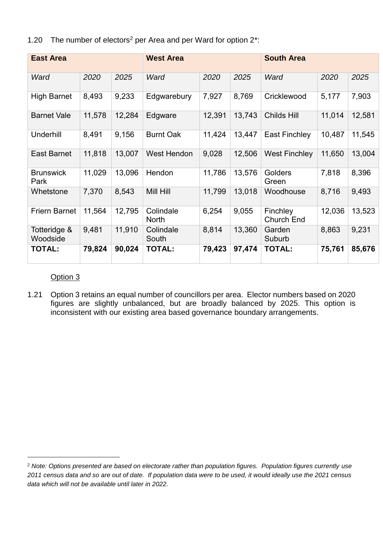1.20 The number of electors<sup>2</sup> per Area and per Ward for option 2<sup>\*</sup>:

| <b>East Area</b>         |        |        | <b>West Area</b>          |        |        | <b>South Area</b>             |        |        |
|--------------------------|--------|--------|---------------------------|--------|--------|-------------------------------|--------|--------|
| Ward                     | 2020   | 2025   | Ward                      | 2020   | 2025   | Ward                          | 2020   | 2025   |
| <b>High Barnet</b>       | 8,493  | 9,233  | Edgwarebury               | 7,927  | 8,769  | Cricklewood                   | 5,177  | 7,903  |
| <b>Barnet Vale</b>       | 11,578 | 12,284 | Edgware                   | 12,391 | 13,743 | Childs Hill                   | 11,014 | 12,581 |
| Underhill                | 8,491  | 9,156  | <b>Burnt Oak</b>          | 11,424 | 13,447 | <b>East Finchley</b>          | 10,487 | 11,545 |
| <b>East Barnet</b>       | 11,818 | 13,007 | West Hendon               | 9,028  | 12,506 | <b>West Finchley</b>          | 11,650 | 13,004 |
| <b>Brunswick</b><br>Park | 11,029 | 13,096 | Hendon                    | 11,786 | 13,576 | Golders<br>Green              | 7,818  | 8,396  |
| Whetstone                | 7,370  | 8,543  | Mill Hill                 | 11,799 | 13,018 | Woodhouse                     | 8,716  | 9,493  |
| <b>Friern Barnet</b>     | 11,564 | 12,795 | Colindale<br><b>North</b> | 6,254  | 9,055  | Finchley<br><b>Church End</b> | 12,036 | 13,523 |
| Totteridge &<br>Woodside | 9,481  | 11,910 | Colindale<br>South        | 8,814  | 13,360 | Garden<br>Suburb              | 8,863  | 9,231  |
| <b>TOTAL:</b>            | 79,824 | 90,024 | <b>TOTAL:</b>             | 79,423 | 97,474 | <b>TOTAL:</b>                 | 75,761 | 85,676 |

#### Option 3

 $\overline{a}$ 

1.21 Option 3 retains an equal number of councillors per area. Elector numbers based on 2020 figures are slightly unbalanced, but are broadly balanced by 2025. This option is inconsistent with our existing area based governance boundary arrangements.

<sup>2</sup> *Note: Options presented are based on electorate rather than population figures. Population figures currently use 2011 census data and so are out of date. If population data were to be used, it would ideally use the 2021 census data which will not be available until later in 2022.*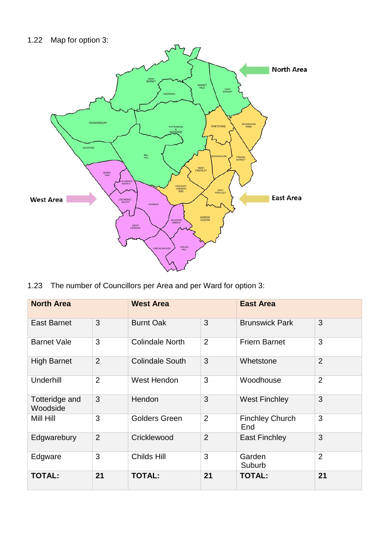

1.23 The number of Councillors per Area and per Ward for option 3:

| <b>North Area</b>          |                | <b>West Area</b>       |                | <b>East Area</b>              |                |  |
|----------------------------|----------------|------------------------|----------------|-------------------------------|----------------|--|
| <b>East Barnet</b>         | 3              | <b>Burnt Oak</b>       | 3              | <b>Brunswick Park</b>         | 3              |  |
| <b>Barnet Vale</b>         | 3              | <b>Colindale North</b> | 2              | <b>Friern Barnet</b>          | 3              |  |
| <b>High Barnet</b>         | $\overline{2}$ | <b>Colindale South</b> | 3              | Whetstone                     | $\overline{2}$ |  |
| Underhill                  | $\overline{2}$ | West Hendon            | 3              | Woodhouse                     | $\overline{2}$ |  |
| Totteridge and<br>Woodside | 3              | Hendon                 | 3              | <b>West Finchley</b>          | 3              |  |
| Mill Hill                  | 3              | <b>Golders Green</b>   | 2              | <b>Finchley Church</b><br>End | 3              |  |
| Edgwarebury                | $\overline{2}$ | Cricklewood            | $\overline{2}$ | East Finchley                 | 3              |  |
| Edgware                    | 3              | Childs Hill            | 3              | Garden<br>Suburb              | $\overline{2}$ |  |
| <b>TOTAL:</b>              | 21             | <b>TOTAL:</b>          | 21             | <b>TOTAL:</b>                 | 21             |  |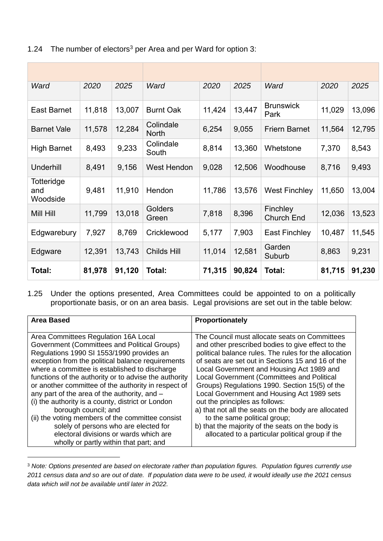| Ward                          | 2020   | 2025   | Ward                      | 2020   | 2025   | Ward                          | 2020   | 2025   |
|-------------------------------|--------|--------|---------------------------|--------|--------|-------------------------------|--------|--------|
| <b>East Barnet</b>            | 11,818 | 13,007 | <b>Burnt Oak</b>          | 11,424 | 13,447 | <b>Brunswick</b><br>Park      | 11,029 | 13,096 |
| <b>Barnet Vale</b>            | 11,578 | 12,284 | Colindale<br><b>North</b> | 6,254  | 9,055  | <b>Friern Barnet</b>          | 11,564 | 12,795 |
| <b>High Barnet</b>            | 8,493  | 9,233  | Colindale<br>South        | 8,814  | 13,360 | Whetstone                     | 7,370  | 8,543  |
| <b>Underhill</b>              | 8,491  | 9,156  | <b>West Hendon</b>        | 9,028  | 12,506 | Woodhouse                     | 8,716  | 9,493  |
| Totteridge<br>and<br>Woodside | 9,481  | 11,910 | Hendon                    | 11,786 | 13,576 | <b>West Finchley</b>          | 11,650 | 13,004 |
| Mill Hill                     | 11,799 | 13,018 | Golders<br>Green          | 7,818  | 8,396  | Finchley<br><b>Church End</b> | 12,036 | 13,523 |
| Edgwarebury                   | 7,927  | 8,769  | Cricklewood               | 5,177  | 7,903  | <b>East Finchley</b>          | 10,487 | 11,545 |
| Edgware                       | 12,391 | 13,743 | Childs Hill               | 11,014 | 12,581 | Garden<br>Suburb              | 8,863  | 9,231  |
| Total:                        | 81,978 | 91,120 | Total:                    | 71,315 | 90,824 | Total:                        | 81,715 | 91,230 |

1.24 The number of electors<sup>3</sup> per Area and per Ward for option 3:

1.25 Under the options presented, Area Committees could be appointed to on a politically proportionate basis, or on an area basis. Legal provisions are set out in the table below:

| <b>Area Based</b>                                                                                                                                                                                                                                                                                                                                                                                                                                                                                                                                                                                                           | Proportionately                                                                                                                                                                                                                                                                                                                                                                                                                                                                                                                                                                                                                              |
|-----------------------------------------------------------------------------------------------------------------------------------------------------------------------------------------------------------------------------------------------------------------------------------------------------------------------------------------------------------------------------------------------------------------------------------------------------------------------------------------------------------------------------------------------------------------------------------------------------------------------------|----------------------------------------------------------------------------------------------------------------------------------------------------------------------------------------------------------------------------------------------------------------------------------------------------------------------------------------------------------------------------------------------------------------------------------------------------------------------------------------------------------------------------------------------------------------------------------------------------------------------------------------------|
|                                                                                                                                                                                                                                                                                                                                                                                                                                                                                                                                                                                                                             |                                                                                                                                                                                                                                                                                                                                                                                                                                                                                                                                                                                                                                              |
| Area Committees Regulation 16A Local<br>Government (Committees and Political Groups)<br>Regulations 1990 SI 1553/1990 provides an<br>exception from the political balance requirements<br>where a committee is established to discharge<br>functions of the authority or to advise the authority<br>or another committee of the authority in respect of<br>any part of the area of the authority, and -<br>(i) the authority is a county, district or London<br>borough council; and<br>(ii) the voting members of the committee consist<br>solely of persons who are elected for<br>electoral divisions or wards which are | The Council must allocate seats on Committees<br>and other prescribed bodies to give effect to the<br>political balance rules. The rules for the allocation<br>of seats are set out in Sections 15 and 16 of the<br>Local Government and Housing Act 1989 and<br>Local Government (Committees and Political<br>Groups) Regulations 1990. Section 15(5) of the<br>Local Government and Housing Act 1989 sets<br>out the principles as follows:<br>a) that not all the seats on the body are allocated<br>to the same political group;<br>b) that the majority of the seats on the body is<br>allocated to a particular political group if the |
|                                                                                                                                                                                                                                                                                                                                                                                                                                                                                                                                                                                                                             |                                                                                                                                                                                                                                                                                                                                                                                                                                                                                                                                                                                                                                              |
| wholly or partly within that part; and                                                                                                                                                                                                                                                                                                                                                                                                                                                                                                                                                                                      |                                                                                                                                                                                                                                                                                                                                                                                                                                                                                                                                                                                                                                              |

<sup>3</sup> *Note: Options presented are based on electorate rather than population figures. Population figures currently use 2011 census data and so are out of date. If population data were to be used, it would ideally use the 2021 census data which will not be available until later in 2022.* 

 $\overline{a}$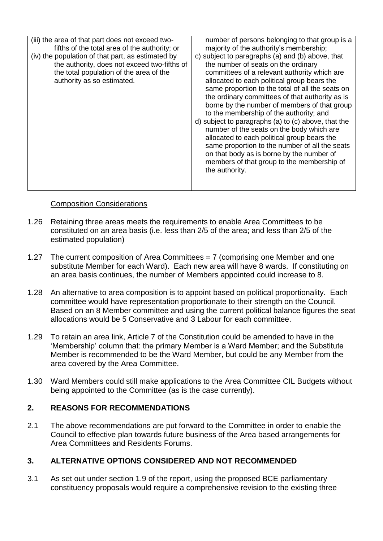| (iii) the area of that part does not exceed two-<br>fifths of the total area of the authority; or<br>(iv) the population of that part, as estimated by<br>the authority, does not exceed two-fifths of<br>the total population of the area of the<br>authority as so estimated. | number of persons belonging to that group is a<br>majority of the authority's membership;<br>c) subject to paragraphs (a) and (b) above, that<br>the number of seats on the ordinary<br>committees of a relevant authority which are<br>allocated to each political group bears the<br>same proportion to the total of all the seats on<br>the ordinary committees of that authority as is<br>borne by the number of members of that group<br>to the membership of the authority; and<br>d) subject to paragraphs (a) to (c) above, that the<br>number of the seats on the body which are<br>allocated to each political group bears the<br>same proportion to the number of all the seats<br>on that body as is borne by the number of<br>members of that group to the membership of<br>the authority. |
|---------------------------------------------------------------------------------------------------------------------------------------------------------------------------------------------------------------------------------------------------------------------------------|---------------------------------------------------------------------------------------------------------------------------------------------------------------------------------------------------------------------------------------------------------------------------------------------------------------------------------------------------------------------------------------------------------------------------------------------------------------------------------------------------------------------------------------------------------------------------------------------------------------------------------------------------------------------------------------------------------------------------------------------------------------------------------------------------------|
|                                                                                                                                                                                                                                                                                 |                                                                                                                                                                                                                                                                                                                                                                                                                                                                                                                                                                                                                                                                                                                                                                                                         |

#### Composition Considerations

- 1.26 Retaining three areas meets the requirements to enable Area Committees to be constituted on an area basis (i.e. less than 2/5 of the area; and less than 2/5 of the estimated population)
- 1.27 The current composition of Area Committees = 7 (comprising one Member and one substitute Member for each Ward). Each new area will have 8 wards. If constituting on an area basis continues, the number of Members appointed could increase to 8.
- 1.28 An alternative to area composition is to appoint based on political proportionality. Each committee would have representation proportionate to their strength on the Council. Based on an 8 Member committee and using the current political balance figures the seat allocations would be 5 Conservative and 3 Labour for each committee.
- 1.29 To retain an area link, Article 7 of the Constitution could be amended to have in the 'Membership' column that: the primary Member is a Ward Member; and the Substitute Member is recommended to be the Ward Member, but could be any Member from the area covered by the Area Committee.
- 1.30 Ward Members could still make applications to the Area Committee CIL Budgets without being appointed to the Committee (as is the case currently).

#### **2. REASONS FOR RECOMMENDATIONS**

2.1 The above recommendations are put forward to the Committee in order to enable the Council to effective plan towards future business of the Area based arrangements for Area Committees and Residents Forums.

#### **3. ALTERNATIVE OPTIONS CONSIDERED AND NOT RECOMMENDED**

3.1 As set out under section 1.9 of the report, using the proposed BCE parliamentary constituency proposals would require a comprehensive revision to the existing three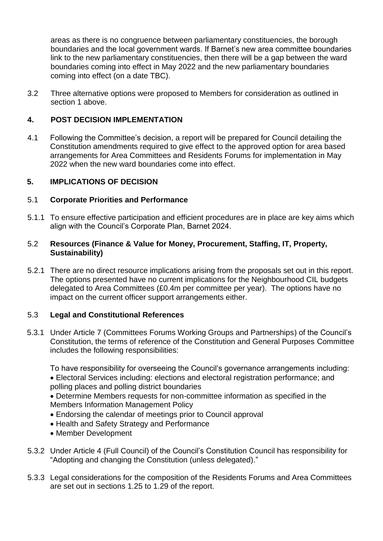areas as there is no congruence between parliamentary constituencies, the borough boundaries and the local government wards. If Barnet's new area committee boundaries link to the new parliamentary constituencies, then there will be a gap between the ward boundaries coming into effect in May 2022 and the new parliamentary boundaries coming into effect (on a date TBC).

3.2 Three alternative options were proposed to Members for consideration as outlined in section 1 above.

#### **4. POST DECISION IMPLEMENTATION**

4.1 Following the Committee's decision, a report will be prepared for Council detailing the Constitution amendments required to give effect to the approved option for area based arrangements for Area Committees and Residents Forums for implementation in May 2022 when the new ward boundaries come into effect.

#### **5. IMPLICATIONS OF DECISION**

#### 5.1 **Corporate Priorities and Performance**

5.1.1 To ensure effective participation and efficient procedures are in place are key aims which align with the Council's Corporate Plan, Barnet 2024.

#### 5.2 **Resources (Finance & Value for Money, Procurement, Staffing, IT, Property, Sustainability)**

5.2.1 There are no direct resource implications arising from the proposals set out in this report. The options presented have no current implications for the Neighbourhood CIL budgets delegated to Area Committees (£0.4m per committee per year). The options have no impact on the current officer support arrangements either.

#### 5.3 **Legal and Constitutional References**

5.3.1 Under Article 7 (Committees Forums Working Groups and Partnerships) of the Council's Constitution, the terms of reference of the Constitution and General Purposes Committee includes the following responsibilities:

To have responsibility for overseeing the Council's governance arrangements including:

 Electoral Services including: elections and electoral registration performance; and polling places and polling district boundaries

 Determine Members requests for non-committee information as specified in the Members Information Management Policy

- Endorsing the calendar of meetings prior to Council approval
- Health and Safety Strategy and Performance
- Member Development
- 5.3.2 Under Article 4 (Full Council) of the Council's Constitution Council has responsibility for "Adopting and changing the Constitution (unless delegated)."
- 5.3.3 Legal considerations for the composition of the Residents Forums and Area Committees are set out in sections 1.25 to 1.29 of the report.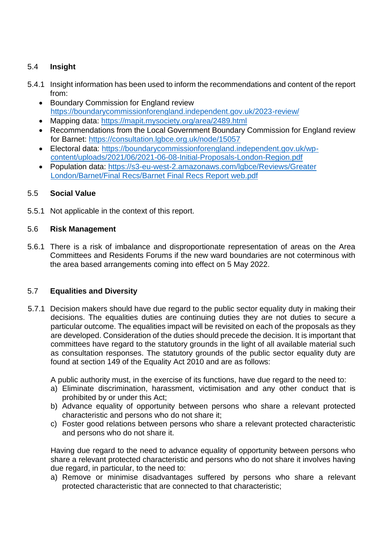### 5.4 **Insight**

- 5.4.1 Insight information has been used to inform the recommendations and content of the report from:
	- Boundary Commission for England review <https://boundarycommissionforengland.independent.gov.uk/2023-review/>
	- Mapping data: https://mapit.mysociety.org/area/2489.html
	- Recommendations from the Local Government Boundary Commission for England review for Barnet:<https://consultation.lgbce.org.uk/node/15057>
	- Electoral data: [https://boundarycommissionforengland.independent.gov.uk/wp](https://boundarycommissionforengland.independent.gov.uk/wp-content/uploads/2021/06/2021-06-08-Initial-Proposals-London-Region.pdf)[content/uploads/2021/06/2021-06-08-Initial-Proposals-London-Region.pdf](https://boundarycommissionforengland.independent.gov.uk/wp-content/uploads/2021/06/2021-06-08-Initial-Proposals-London-Region.pdf)
	- Population data: [https://s3-eu-west-2.amazonaws.com/lgbce/Reviews/Greater](https://s3-eu-west-2.amazonaws.com/lgbce/Reviews/Greater%20London/Barnet/Final%20Recs/Barnet%20Final%20Recs%20Report%20web.pdf)  [London/Barnet/Final Recs/Barnet Final Recs Report web.pdf](https://s3-eu-west-2.amazonaws.com/lgbce/Reviews/Greater%20London/Barnet/Final%20Recs/Barnet%20Final%20Recs%20Report%20web.pdf)

#### 5.5 **Social Value**

5.5.1 Not applicable in the context of this report.

#### 5.6 **Risk Management**

5.6.1 There is a risk of imbalance and disproportionate representation of areas on the Area Committees and Residents Forums if the new ward boundaries are not coterminous with the area based arrangements coming into effect on 5 May 2022.

#### 5.7 **Equalities and Diversity**

5.7.1 Decision makers should have due regard to the public sector equality duty in making their decisions. The equalities duties are continuing duties they are not duties to secure a particular outcome. The equalities impact will be revisited on each of the proposals as they are developed. Consideration of the duties should precede the decision. It is important that committees have regard to the statutory grounds in the light of all available material such as consultation responses. The statutory grounds of the public sector equality duty are found at section 149 of the Equality Act 2010 and are as follows:

A public authority must, in the exercise of its functions, have due regard to the need to:

- a) Eliminate discrimination, harassment, victimisation and any other conduct that is prohibited by or under this Act;
- b) Advance equality of opportunity between persons who share a relevant protected characteristic and persons who do not share it;
- c) Foster good relations between persons who share a relevant protected characteristic and persons who do not share it.

Having due regard to the need to advance equality of opportunity between persons who share a relevant protected characteristic and persons who do not share it involves having due regard, in particular, to the need to:

a) Remove or minimise disadvantages suffered by persons who share a relevant protected characteristic that are connected to that characteristic;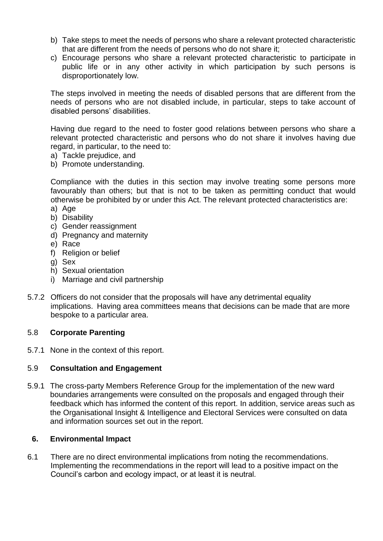- b) Take steps to meet the needs of persons who share a relevant protected characteristic that are different from the needs of persons who do not share it;
- c) Encourage persons who share a relevant protected characteristic to participate in public life or in any other activity in which participation by such persons is disproportionately low.

The steps involved in meeting the needs of disabled persons that are different from the needs of persons who are not disabled include, in particular, steps to take account of disabled persons' disabilities.

Having due regard to the need to foster good relations between persons who share a relevant protected characteristic and persons who do not share it involves having due regard, in particular, to the need to:

- a) Tackle prejudice, and
- b) Promote understanding.

Compliance with the duties in this section may involve treating some persons more favourably than others; but that is not to be taken as permitting conduct that would otherwise be prohibited by or under this Act. The relevant protected characteristics are:

- a) Age
- b) Disability
- c) Gender reassignment
- d) Pregnancy and maternity
- e) Race
- f) Religion or belief
- g) Sex
- h) Sexual orientation
- i) Marriage and civil partnership
- 5.7.2 Officers do not consider that the proposals will have any detrimental equality implications. Having area committees means that decisions can be made that are more bespoke to a particular area.

#### 5.8 **Corporate Parenting**

5.7.1 None in the context of this report.

#### 5.9 **Consultation and Engagement**

5.9.1 The cross-party Members Reference Group for the implementation of the new ward boundaries arrangements were consulted on the proposals and engaged through their feedback which has informed the content of this report. In addition, service areas such as the Organisational Insight & Intelligence and Electoral Services were consulted on data and information sources set out in the report.

#### **6. Environmental Impact**

6.1 There are no direct environmental implications from noting the recommendations. Implementing the recommendations in the report will lead to a positive impact on the Council's carbon and ecology impact, or at least it is neutral*.*